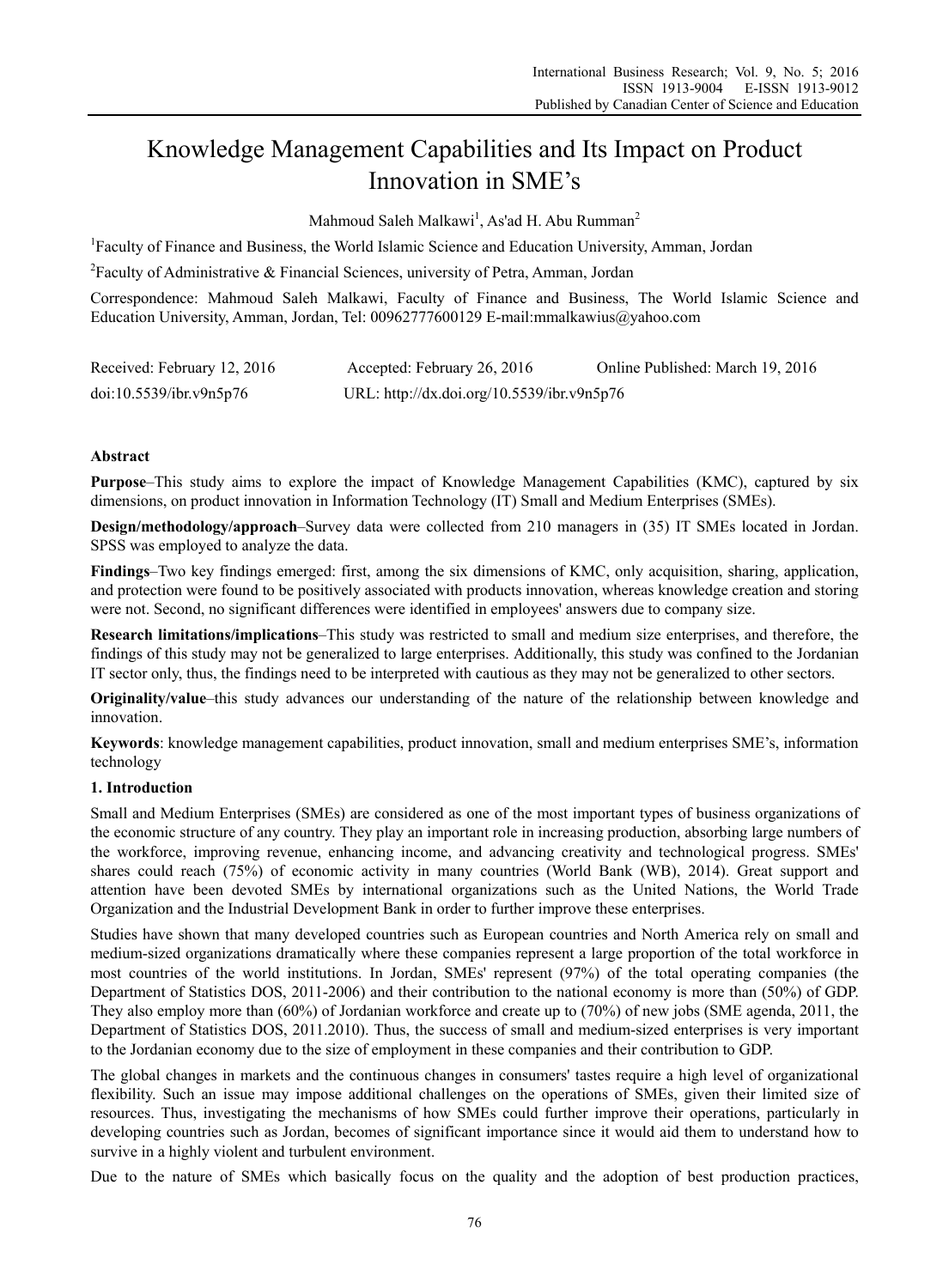# Knowledge Management Capabilities and Its Impact on Product Innovation in SME's

Mahmoud Saleh Malkawi<sup>1</sup>, As'ad H. Abu Rumman<sup>2</sup>

<sup>1</sup>Faculty of Finance and Business, the World Islamic Science and Education University, Amman, Jordan

<sup>2</sup> Faculty of Administrative & Financial Sciences, university of Petra, Amman, Jordan

Correspondence: Mahmoud Saleh Malkawi, Faculty of Finance and Business, The World Islamic Science and Education University, Amman, Jordan, Tel: 00962777600129 E-mail:mmalkawius@yahoo.com

| Received: February 12, 2016 | Accepted: February 26, 2016                | Online Published: March 19, 2016 |
|-----------------------------|--------------------------------------------|----------------------------------|
| doi:10.5539/ibr.v9n5p76     | URL: http://dx.doi.org/10.5539/ibr.v9n5p76 |                                  |

# **Abstract**

**Purpose**–This study aims to explore the impact of Knowledge Management Capabilities (KMC), captured by six dimensions, on product innovation in Information Technology (IT) Small and Medium Enterprises (SMEs).

**Design/methodology/approach**–Survey data were collected from 210 managers in (35) IT SMEs located in Jordan. SPSS was employed to analyze the data.

**Findings**–Two key findings emerged: first, among the six dimensions of KMC, only acquisition, sharing, application, and protection were found to be positively associated with products innovation, whereas knowledge creation and storing were not. Second, no significant differences were identified in employees' answers due to company size.

**Research limitations/implications**–This study was restricted to small and medium size enterprises, and therefore, the findings of this study may not be generalized to large enterprises. Additionally, this study was confined to the Jordanian IT sector only, thus, the findings need to be interpreted with cautious as they may not be generalized to other sectors.

**Originality/value**–this study advances our understanding of the nature of the relationship between knowledge and innovation.

**Keywords**: knowledge management capabilities, product innovation, small and medium enterprises SME's, information technology

# **1. Introduction**

Small and Medium Enterprises (SMEs) are considered as one of the most important types of business organizations of the economic structure of any country. They play an important role in increasing production, absorbing large numbers of the workforce, improving revenue, enhancing income, and advancing creativity and technological progress. SMEs' shares could reach (75%) of economic activity in many countries (World Bank (WB), 2014). Great support and attention have been devoted SMEs by international organizations such as the United Nations, the World Trade Organization and the Industrial Development Bank in order to further improve these enterprises.

Studies have shown that many developed countries such as European countries and North America rely on small and medium-sized organizations dramatically where these companies represent a large proportion of the total workforce in most countries of the world institutions. In Jordan, SMEs' represent (97%) of the total operating companies (the Department of Statistics DOS, 2011-2006) and their contribution to the national economy is more than (50%) of GDP. They also employ more than (60%) of Jordanian workforce and create up to (70%) of new jobs (SME agenda, 2011, the Department of Statistics DOS, 2011.2010). Thus, the success of small and medium-sized enterprises is very important to the Jordanian economy due to the size of employment in these companies and their contribution to GDP.

The global changes in markets and the continuous changes in consumers' tastes require a high level of organizational flexibility. Such an issue may impose additional challenges on the operations of SMEs, given their limited size of resources. Thus, investigating the mechanisms of how SMEs could further improve their operations, particularly in developing countries such as Jordan, becomes of significant importance since it would aid them to understand how to survive in a highly violent and turbulent environment.

Due to the nature of SMEs which basically focus on the quality and the adoption of best production practices,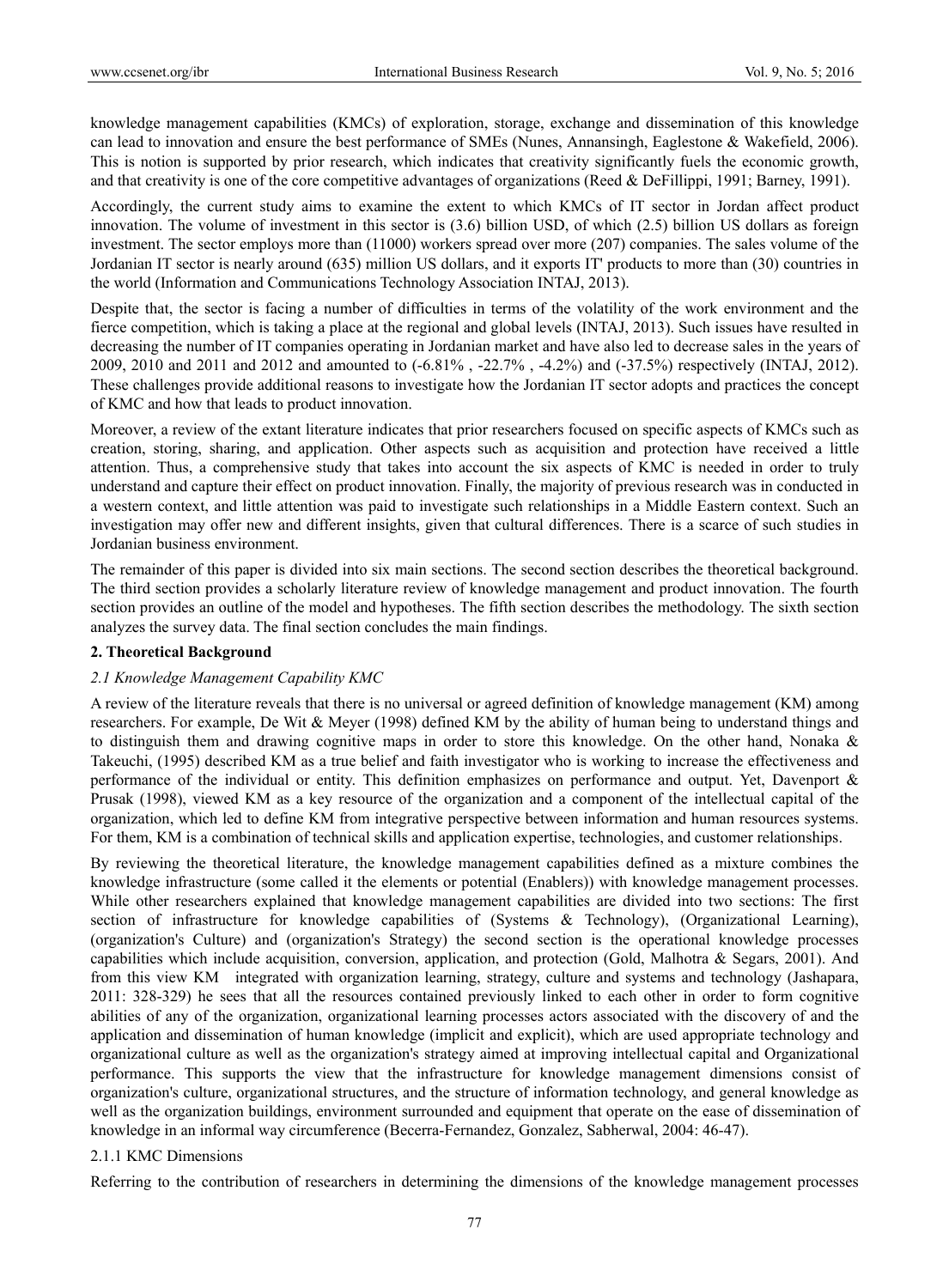knowledge management capabilities (KMCs) of exploration, storage, exchange and dissemination of this knowledge can lead to innovation and ensure the best performance of SMEs (Nunes, Annansingh, Eaglestone & Wakefield, 2006). This is notion is supported by prior research, which indicates that creativity significantly fuels the economic growth, and that creativity is one of the core competitive advantages of organizations (Reed & DeFillippi, 1991; Barney, 1991).

Accordingly, the current study aims to examine the extent to which KMCs of IT sector in Jordan affect product innovation. The volume of investment in this sector is (3.6) billion USD, of which (2.5) billion US dollars as foreign investment. The sector employs more than (11000) workers spread over more (207) companies. The sales volume of the Jordanian IT sector is nearly around (635) million US dollars, and it exports IT' products to more than (30) countries in the world (Information and Communications Technology Association INTAJ, 2013).

Despite that, the sector is facing a number of difficulties in terms of the volatility of the work environment and the fierce competition, which is taking a place at the regional and global levels (INTAJ, 2013). Such issues have resulted in decreasing the number of IT companies operating in Jordanian market and have also led to decrease sales in the years of 2009, 2010 and 2011 and 2012 and amounted to (-6.81% , -22.7% , -4.2%) and (-37.5%) respectively (INTAJ, 2012). These challenges provide additional reasons to investigate how the Jordanian IT sector adopts and practices the concept of KMC and how that leads to product innovation.

Moreover, a review of the extant literature indicates that prior researchers focused on specific aspects of KMCs such as creation, storing, sharing, and application. Other aspects such as acquisition and protection have received a little attention. Thus, a comprehensive study that takes into account the six aspects of KMC is needed in order to truly understand and capture their effect on product innovation. Finally, the majority of previous research was in conducted in a western context, and little attention was paid to investigate such relationships in a Middle Eastern context. Such an investigation may offer new and different insights, given that cultural differences. There is a scarce of such studies in Jordanian business environment.

The remainder of this paper is divided into six main sections. The second section describes the theoretical background. The third section provides a scholarly literature review of knowledge management and product innovation. The fourth section provides an outline of the model and hypotheses. The fifth section describes the methodology. The sixth section analyzes the survey data. The final section concludes the main findings.

# **2. Theoretical Background**

# *2.1 Knowledge Management Capability KMC*

A review of the literature reveals that there is no universal or agreed definition of knowledge management (KM) among researchers. For example, De Wit & Meyer (1998) defined KM by the ability of human being to understand things and to distinguish them and drawing cognitive maps in order to store this knowledge. On the other hand, Nonaka & Takeuchi, (1995) described KM as a true belief and faith investigator who is working to increase the effectiveness and performance of the individual or entity. This definition emphasizes on performance and output. Yet, Davenport & Prusak (1998), viewed KM as a key resource of the organization and a component of the intellectual capital of the organization, which led to define KM from integrative perspective between information and human resources systems. For them, KM is a combination of technical skills and application expertise, technologies, and customer relationships.

By reviewing the theoretical literature, the knowledge management capabilities defined as a mixture combines the knowledge infrastructure (some called it the elements or potential (Enablers)) with knowledge management processes. While other researchers explained that knowledge management capabilities are divided into two sections: The first section of infrastructure for knowledge capabilities of (Systems & Technology), (Organizational Learning), (organization's Culture) and (organization's Strategy) the second section is the operational knowledge processes capabilities which include acquisition, conversion, application, and protection (Gold, Malhotra & Segars, 2001). And from this view KM integrated with organization learning, strategy, culture and systems and technology (Jashapara, 2011: 328-329) he sees that all the resources contained previously linked to each other in order to form cognitive abilities of any of the organization, organizational learning processes actors associated with the discovery of and the application and dissemination of human knowledge (implicit and explicit), which are used appropriate technology and organizational culture as well as the organization's strategy aimed at improving intellectual capital and Organizational performance. This supports the view that the infrastructure for knowledge management dimensions consist of organization's culture, organizational structures, and the structure of information technology, and general knowledge as well as the organization buildings, environment surrounded and equipment that operate on the ease of dissemination of knowledge in an informal way circumference (Becerra-Fernandez, Gonzalez, Sabherwal, 2004: 46-47).

# 2.1.1 KMC Dimensions

Referring to the contribution of researchers in determining the dimensions of the knowledge management processes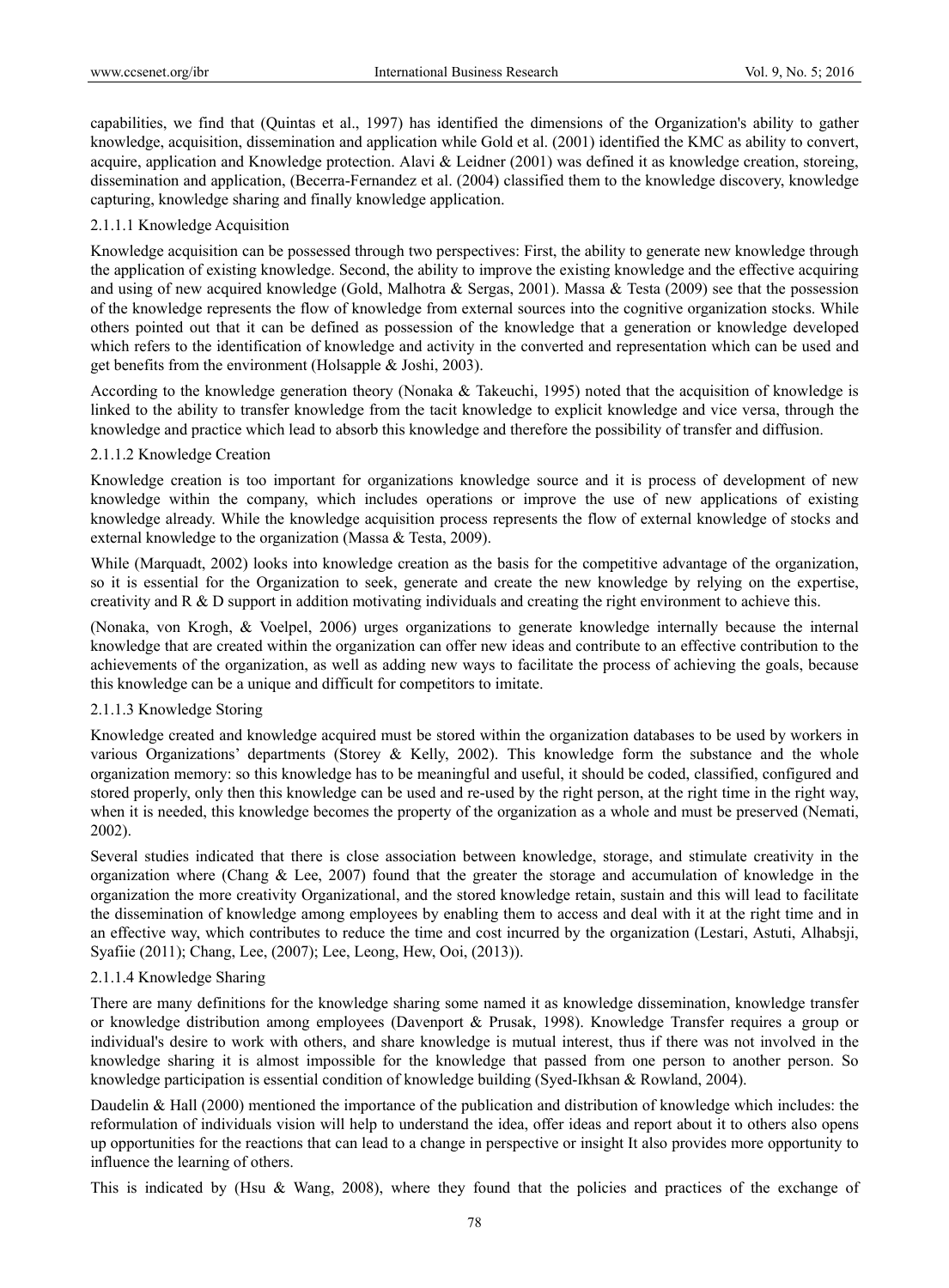capabilities, we find that (Quintas et al., 1997) has identified the dimensions of the Organization's ability to gather knowledge, acquisition, dissemination and application while Gold et al. (2001) identified the KMC as ability to convert, acquire, application and Knowledge protection. Alavi & Leidner (2001) was defined it as knowledge creation, storeing, dissemination and application, (Becerra-Fernandez et al. (2004) classified them to the knowledge discovery, knowledge capturing, knowledge sharing and finally knowledge application.

# 2.1.1.1 Knowledge Acquisition

Knowledge acquisition can be possessed through two perspectives: First, the ability to generate new knowledge through the application of existing knowledge. Second, the ability to improve the existing knowledge and the effective acquiring and using of new acquired knowledge (Gold, Malhotra & Sergas, 2001). Massa & Testa (2009) see that the possession of the knowledge represents the flow of knowledge from external sources into the cognitive organization stocks. While others pointed out that it can be defined as possession of the knowledge that a generation or knowledge developed which refers to the identification of knowledge and activity in the converted and representation which can be used and get benefits from the environment (Holsapple & Joshi, 2003).

According to the knowledge generation theory (Nonaka & Takeuchi, 1995) noted that the acquisition of knowledge is linked to the ability to transfer knowledge from the tacit knowledge to explicit knowledge and vice versa, through the knowledge and practice which lead to absorb this knowledge and therefore the possibility of transfer and diffusion.

# 2.1.1.2 Knowledge Creation

Knowledge creation is too important for organizations knowledge source and it is process of development of new knowledge within the company, which includes operations or improve the use of new applications of existing knowledge already. While the knowledge acquisition process represents the flow of external knowledge of stocks and external knowledge to the organization (Massa & Testa, 2009).

While (Marquadt, 2002) looks into knowledge creation as the basis for the competitive advantage of the organization, so it is essential for the Organization to seek, generate and create the new knowledge by relying on the expertise, creativity and  $R \& D$  support in addition motivating individuals and creating the right environment to achieve this.

(Nonaka, von Krogh, & Voelpel, 2006) urges organizations to generate knowledge internally because the internal knowledge that are created within the organization can offer new ideas and contribute to an effective contribution to the achievements of the organization, as well as adding new ways to facilitate the process of achieving the goals, because this knowledge can be a unique and difficult for competitors to imitate.

# 2.1.1.3 Knowledge Storing

Knowledge created and knowledge acquired must be stored within the organization databases to be used by workers in various Organizations' departments (Storey & Kelly, 2002). This knowledge form the substance and the whole organization memory: so this knowledge has to be meaningful and useful, it should be coded, classified, configured and stored properly, only then this knowledge can be used and re-used by the right person, at the right time in the right way, when it is needed, this knowledge becomes the property of the organization as a whole and must be preserved (Nemati, 2002).

Several studies indicated that there is close association between knowledge, storage, and stimulate creativity in the organization where (Chang & Lee, 2007) found that the greater the storage and accumulation of knowledge in the organization the more creativity Organizational, and the stored knowledge retain, sustain and this will lead to facilitate the dissemination of knowledge among employees by enabling them to access and deal with it at the right time and in an effective way, which contributes to reduce the time and cost incurred by the organization (Lestari, Astuti, Alhabsji, Syafiie (2011); Chang, Lee, (2007); Lee, Leong, Hew, Ooi, (2013)).

# 2.1.1.4 Knowledge Sharing

There are many definitions for the knowledge sharing some named it as knowledge dissemination, knowledge transfer or knowledge distribution among employees (Davenport & Prusak, 1998). Knowledge Transfer requires a group or individual's desire to work with others, and share knowledge is mutual interest, thus if there was not involved in the knowledge sharing it is almost impossible for the knowledge that passed from one person to another person. So knowledge participation is essential condition of knowledge building (Syed-Ikhsan & Rowland, 2004).

Daudelin & Hall (2000) mentioned the importance of the publication and distribution of knowledge which includes: the reformulation of individuals vision will help to understand the idea, offer ideas and report about it to others also opens up opportunities for the reactions that can lead to a change in perspective or insight It also provides more opportunity to influence the learning of others.

This is indicated by (Hsu & Wang, 2008), where they found that the policies and practices of the exchange of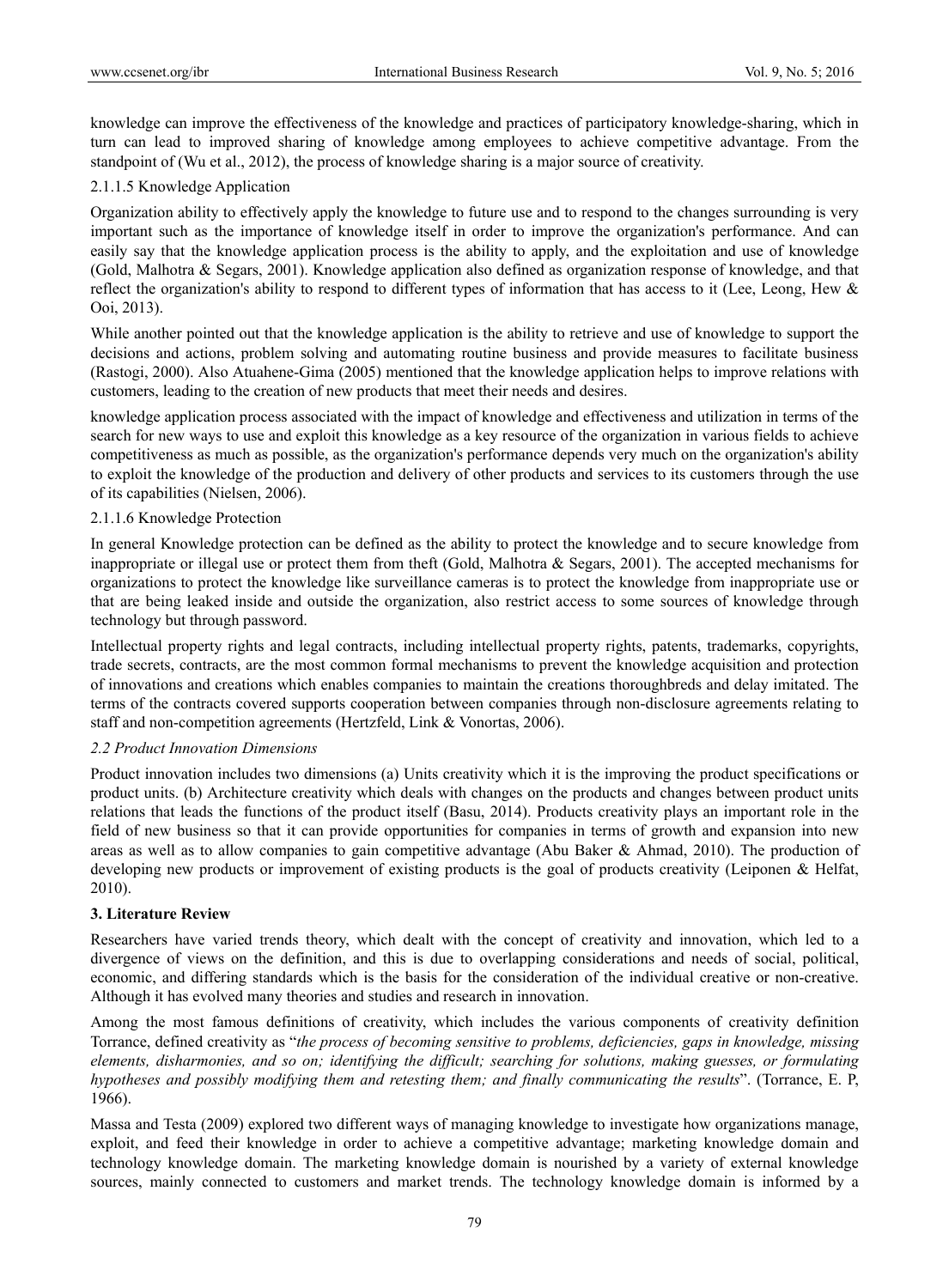knowledge can improve the effectiveness of the knowledge and practices of participatory knowledge-sharing, which in turn can lead to improved sharing of knowledge among employees to achieve competitive advantage. From the standpoint of (Wu et al., 2012), the process of knowledge sharing is a major source of creativity.

# 2.1.1.5 Knowledge Application

Organization ability to effectively apply the knowledge to future use and to respond to the changes surrounding is very important such as the importance of knowledge itself in order to improve the organization's performance. And can easily say that the knowledge application process is the ability to apply, and the exploitation and use of knowledge (Gold, Malhotra & Segars, 2001). Knowledge application also defined as organization response of knowledge, and that reflect the organization's ability to respond to different types of information that has access to it (Lee, Leong, Hew & Ooi, 2013).

While another pointed out that the knowledge application is the ability to retrieve and use of knowledge to support the decisions and actions, problem solving and automating routine business and provide measures to facilitate business (Rastogi, 2000). Also Atuahene-Gima (2005) mentioned that the knowledge application helps to improve relations with customers, leading to the creation of new products that meet their needs and desires.

knowledge application process associated with the impact of knowledge and effectiveness and utilization in terms of the search for new ways to use and exploit this knowledge as a key resource of the organization in various fields to achieve competitiveness as much as possible, as the organization's performance depends very much on the organization's ability to exploit the knowledge of the production and delivery of other products and services to its customers through the use of its capabilities (Nielsen, 2006).

# 2.1.1.6 Knowledge Protection

In general Knowledge protection can be defined as the ability to protect the knowledge and to secure knowledge from inappropriate or illegal use or protect them from theft (Gold, Malhotra & Segars, 2001). The accepted mechanisms for organizations to protect the knowledge like surveillance cameras is to protect the knowledge from inappropriate use or that are being leaked inside and outside the organization, also restrict access to some sources of knowledge through technology but through password.

Intellectual property rights and legal contracts, including intellectual property rights, patents, trademarks, copyrights, trade secrets, contracts, are the most common formal mechanisms to prevent the knowledge acquisition and protection of innovations and creations which enables companies to maintain the creations thoroughbreds and delay imitated. The terms of the contracts covered supports cooperation between companies through non-disclosure agreements relating to staff and non-competition agreements (Hertzfeld, Link & Vonortas, 2006).

# *2.2 Product Innovation Dimensions*

Product innovation includes two dimensions (a) Units creativity which it is the improving the product specifications or product units. (b) Architecture creativity which deals with changes on the products and changes between product units relations that leads the functions of the product itself (Basu, 2014). Products creativity plays an important role in the field of new business so that it can provide opportunities for companies in terms of growth and expansion into new areas as well as to allow companies to gain competitive advantage (Abu Baker & Ahmad, 2010). The production of developing new products or improvement of existing products is the goal of products creativity (Leiponen & Helfat, 2010).

# **3. Literature Review**

Researchers have varied trends theory, which dealt with the concept of creativity and innovation, which led to a divergence of views on the definition, and this is due to overlapping considerations and needs of social, political, economic, and differing standards which is the basis for the consideration of the individual creative or non-creative. Although it has evolved many theories and studies and research in innovation.

Among the most famous definitions of creativity, which includes the various components of creativity definition Torrance, defined creativity as "*the process of becoming sensitive to problems, deficiencies, gaps in knowledge, missing elements, disharmonies, and so on; identifying the difficult; searching for solutions, making guesses, or formulating hypotheses and possibly modifying them and retesting them; and finally communicating the results*". (Torrance, E. P, 1966).

Massa and Testa (2009) explored two different ways of managing knowledge to investigate how organizations manage, exploit, and feed their knowledge in order to achieve a competitive advantage; marketing knowledge domain and technology knowledge domain. The marketing knowledge domain is nourished by a variety of external knowledge sources, mainly connected to customers and market trends. The technology knowledge domain is informed by a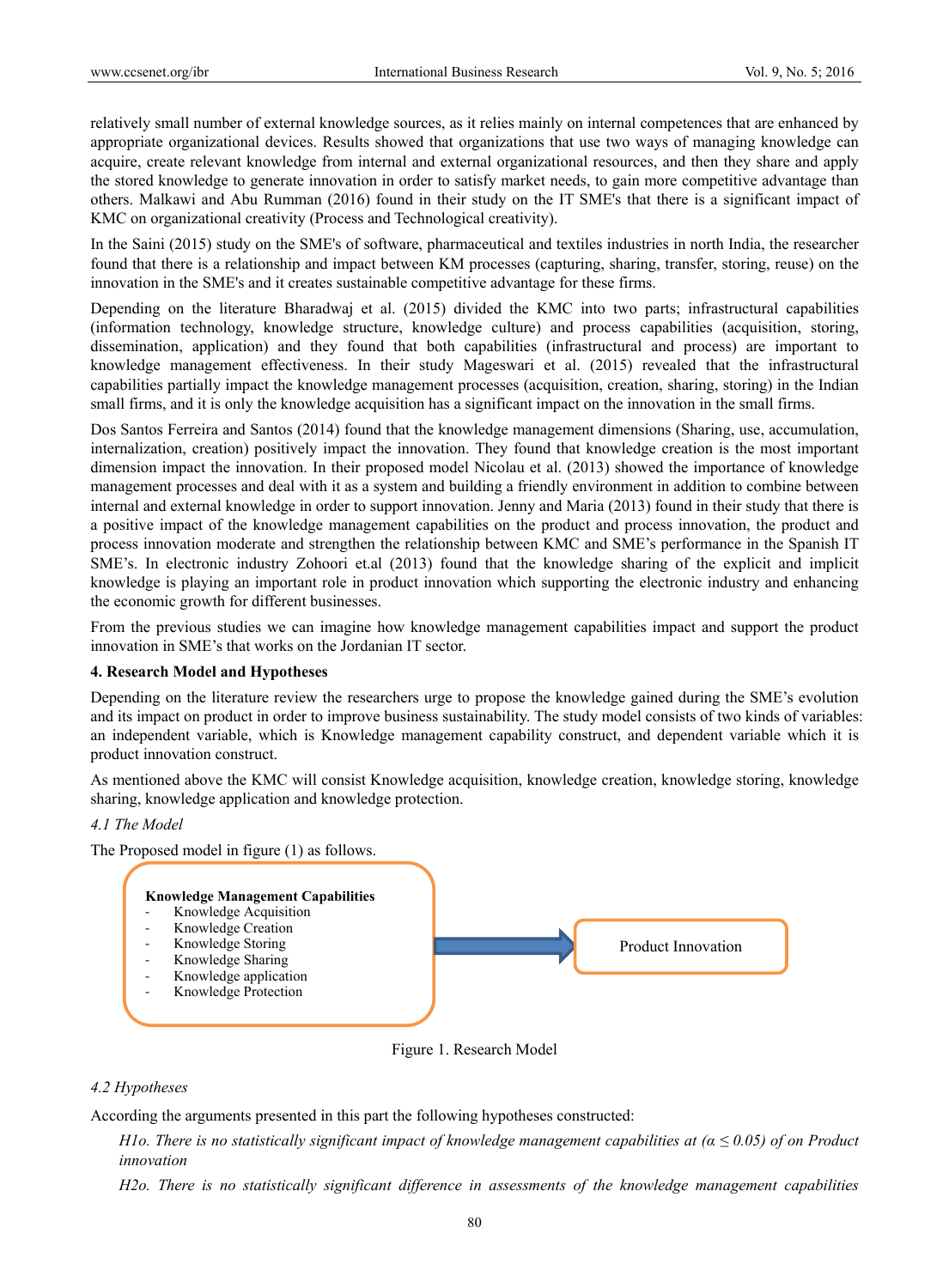relatively small number of external knowledge sources, as it relies mainly on internal competences that are enhanced by appropriate organizational devices. Results showed that organizations that use two ways of managing knowledge can acquire, create relevant knowledge from internal and external organizational resources, and then they share and apply the stored knowledge to generate innovation in order to satisfy market needs, to gain more competitive advantage than others. Malkawi and Abu Rumman (2016) found in their study on the IT SME's that there is a significant impact of KMC on organizational creativity (Process and Technological creativity).

In the Saini (2015) study on the SME's of software, pharmaceutical and textiles industries in north India, the researcher found that there is a relationship and impact between KM processes (capturing, sharing, transfer, storing, reuse) on the innovation in the SME's and it creates sustainable competitive advantage for these firms.

Depending on the literature Bharadwaj et al. (2015) divided the KMC into two parts; infrastructural capabilities (information technology, knowledge structure, knowledge culture) and process capabilities (acquisition, storing, dissemination, application) and they found that both capabilities (infrastructural and process) are important to knowledge management effectiveness. In their study Mageswari et al. (2015) revealed that the infrastructural capabilities partially impact the knowledge management processes (acquisition, creation, sharing, storing) in the Indian small firms, and it is only the knowledge acquisition has a significant impact on the innovation in the small firms.

Dos Santos Ferreira and Santos (2014) found that the knowledge management dimensions (Sharing, use, accumulation, internalization, creation) positively impact the innovation. They found that knowledge creation is the most important dimension impact the innovation. In their proposed model Nicolau et al. (2013) showed the importance of knowledge management processes and deal with it as a system and building a friendly environment in addition to combine between internal and external knowledge in order to support innovation. Jenny and Maria (2013) found in their study that there is a positive impact of the knowledge management capabilities on the product and process innovation, the product and process innovation moderate and strengthen the relationship between KMC and SME's performance in the Spanish IT SME's. In electronic industry Zohoori et.al (2013) found that the knowledge sharing of the explicit and implicit knowledge is playing an important role in product innovation which supporting the electronic industry and enhancing the economic growth for different businesses.

From the previous studies we can imagine how knowledge management capabilities impact and support the product innovation in SME's that works on the Jordanian IT sector.

#### **4. Research Model and Hypotheses**

Depending on the literature review the researchers urge to propose the knowledge gained during the SME's evolution and its impact on product in order to improve business sustainability. The study model consists of two kinds of variables: an independent variable, which is Knowledge management capability construct, and dependent variable which it is product innovation construct.

As mentioned above the KMC will consist Knowledge acquisition, knowledge creation, knowledge storing, knowledge sharing, knowledge application and knowledge protection.

#### *4.1 The Model*





# *4.2 Hypotheses*

According the arguments presented in this part the following hypotheses constructed:

*H1o. There is no statistically significant impact of knowledge management capabilities at (α ≤ 0.05) of on Product innovation* 

*H2o. There is no statistically significant difference in assessments of the knowledge management capabilities*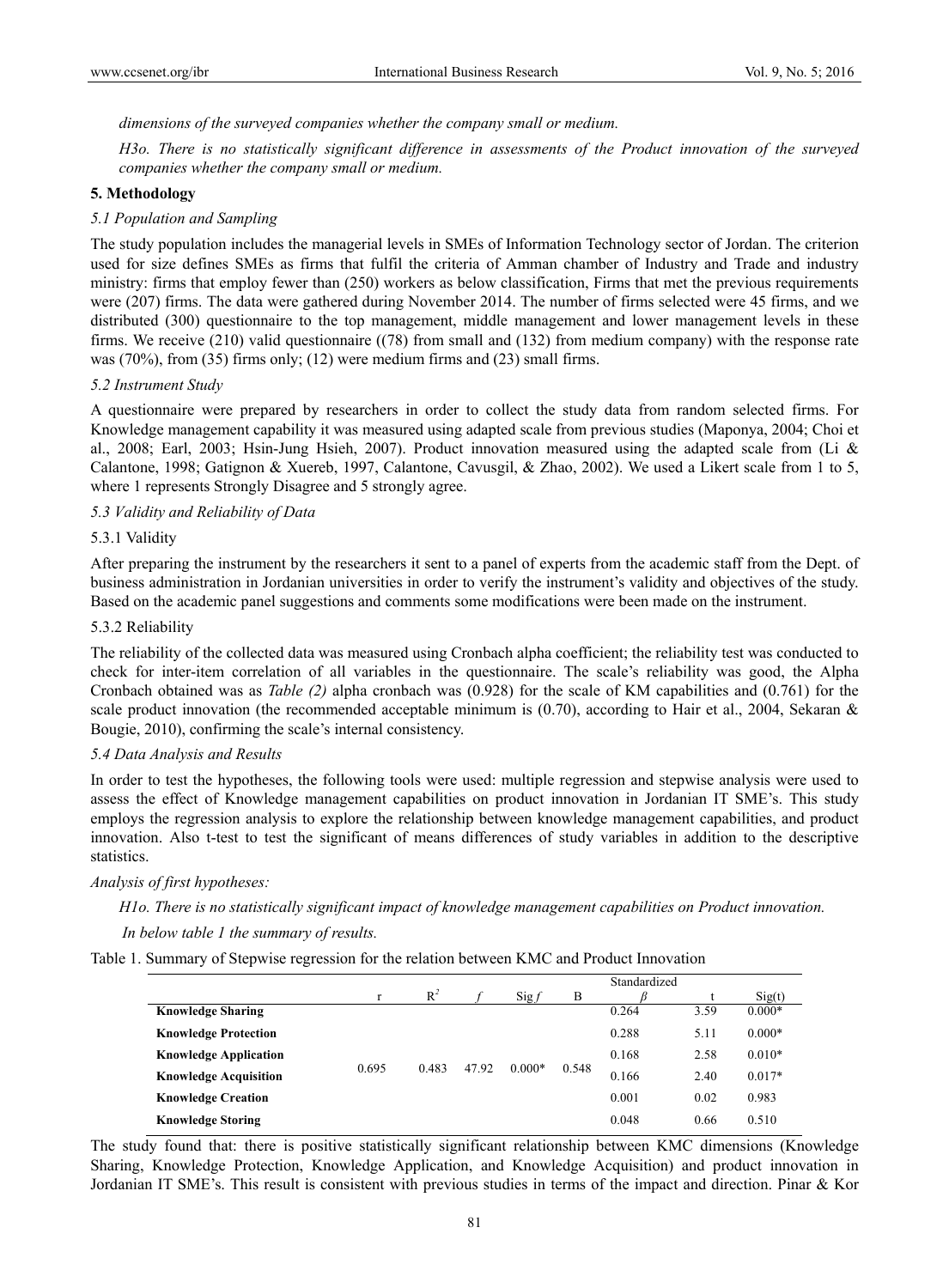*dimensions of the surveyed companies whether the company small or medium.* 

*H3o. There is no statistically significant difference in assessments of the Product innovation of the surveyed companies whether the company small or medium.* 

# **5. Methodology**

# *5.1 Population and Sampling*

The study population includes the managerial levels in SMEs of Information Technology sector of Jordan. The criterion used for size defines SMEs as firms that fulfil the criteria of Amman chamber of Industry and Trade and industry ministry: firms that employ fewer than (250) workers as below classification, Firms that met the previous requirements were (207) firms. The data were gathered during November 2014. The number of firms selected were 45 firms, and we distributed (300) questionnaire to the top management, middle management and lower management levels in these firms. We receive (210) valid questionnaire ((78) from small and (132) from medium company) with the response rate was (70%), from (35) firms only; (12) were medium firms and (23) small firms.

#### *5.2 Instrument Study*

A questionnaire were prepared by researchers in order to collect the study data from random selected firms. For Knowledge management capability it was measured using adapted scale from previous studies (Maponya, 2004; Choi et al., 2008; Earl, 2003; Hsin-Jung Hsieh, 2007). Product innovation measured using the adapted scale from (Li & Calantone, 1998; Gatignon & Xuereb, 1997, Calantone, Cavusgil, & Zhao, 2002). We used a Likert scale from 1 to 5, where 1 represents Strongly Disagree and 5 strongly agree.

## *5.3 Validity and Reliability of Data*

#### 5.3.1 Validity

After preparing the instrument by the researchers it sent to a panel of experts from the academic staff from the Dept. of business administration in Jordanian universities in order to verify the instrument's validity and objectives of the study. Based on the academic panel suggestions and comments some modifications were been made on the instrument.

#### 5.3.2 Reliability

The reliability of the collected data was measured using Cronbach alpha coefficient; the reliability test was conducted to check for inter-item correlation of all variables in the questionnaire. The scale's reliability was good, the Alpha Cronbach obtained was as *Table (2)* alpha cronbach was (0.928) for the scale of KM capabilities and (0.761) for the scale product innovation (the recommended acceptable minimum is  $(0.70)$ , according to Hair et al., 2004, Sekaran & Bougie, 2010), confirming the scale's internal consistency.

#### *5.4 Data Analysis and Results*

In order to test the hypotheses, the following tools were used: multiple regression and stepwise analysis were used to assess the effect of Knowledge management capabilities on product innovation in Jordanian IT SME's. This study employs the regression analysis to explore the relationship between knowledge management capabilities, and product innovation. Also t-test to test the significant of means differences of study variables in addition to the descriptive statistics.

*Analysis of first hypotheses:* 

*H1o. There is no statistically significant impact of knowledge management capabilities on Product innovation.* 

# *In below table 1 the summary of results.*

Table 1. Summary of Stepwise regression for the relation between KMC and Product Innovation

|                              |       |       |       |                   |       | Standardized |      |          |
|------------------------------|-------|-------|-------|-------------------|-------|--------------|------|----------|
|                              | r     | $R^2$ |       | $\mathrm{Sig}\,f$ | B     |              |      | Sig(t)   |
| <b>Knowledge Sharing</b>     |       |       |       |                   |       | 0.264        | 3.59 | $0.000*$ |
| <b>Knowledge Protection</b>  |       |       |       |                   |       | 0.288        | 5.11 | $0.000*$ |
| <b>Knowledge Application</b> |       |       |       |                   |       | 0.168        | 2.58 | $0.010*$ |
| <b>Knowledge Acquisition</b> | 0.695 | 0.483 | 47.92 | $0.000*$          | 0.548 | 0.166        | 2.40 | $0.017*$ |
| <b>Knowledge Creation</b>    |       |       |       |                   |       | 0.001        | 0.02 | 0.983    |
| <b>Knowledge Storing</b>     |       |       |       |                   |       | 0.048        | 0.66 | 0.510    |

The study found that: there is positive statistically significant relationship between KMC dimensions (Knowledge Sharing, Knowledge Protection, Knowledge Application, and Knowledge Acquisition) and product innovation in Jordanian IT SME's. This result is consistent with previous studies in terms of the impact and direction. Pinar & Kor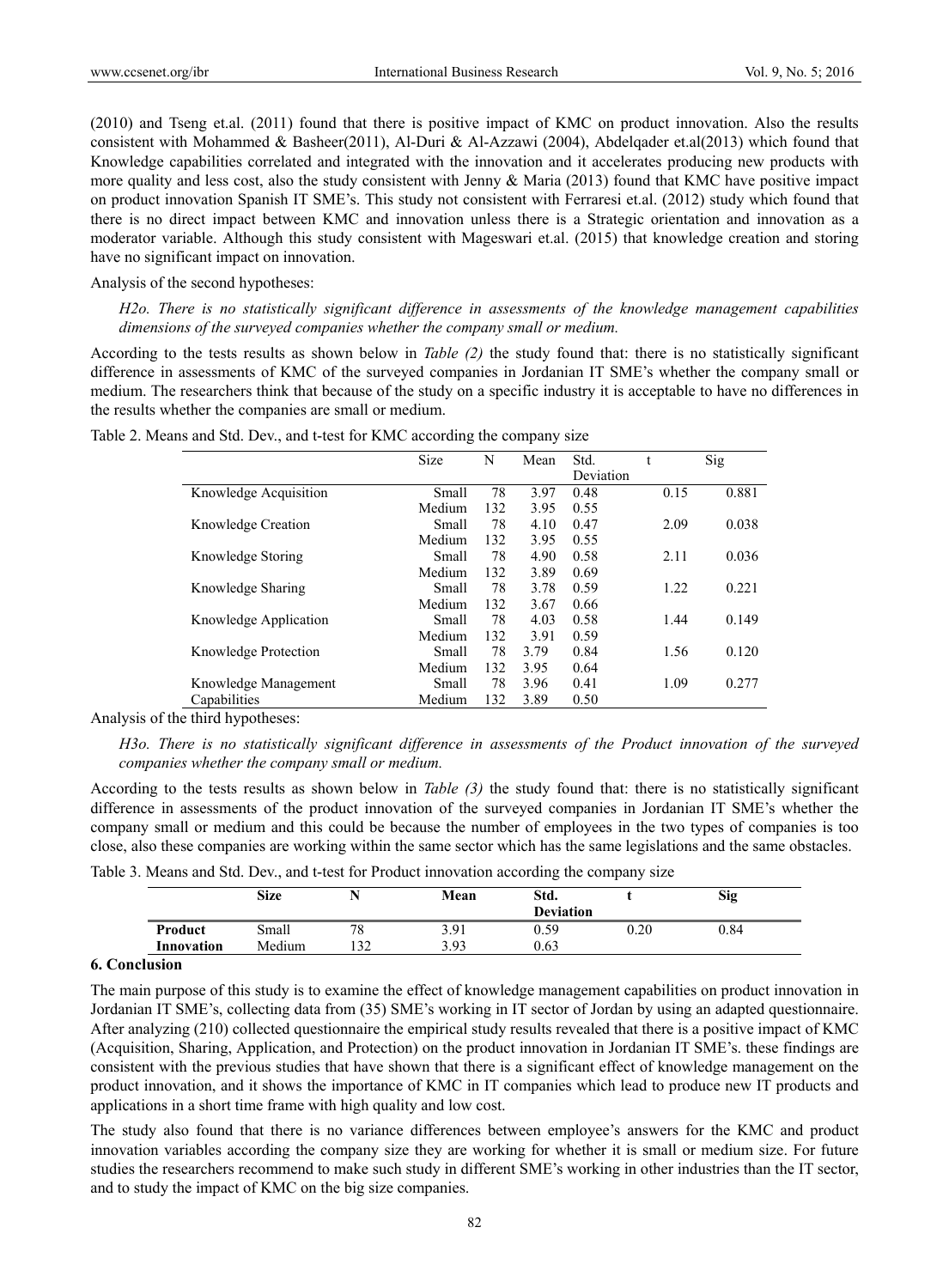(2010) and Tseng et.al. (2011) found that there is positive impact of KMC on product innovation. Also the results consistent with Mohammed & Basheer(2011), Al-Duri & Al-Azzawi (2004), Abdelqader et.al(2013) which found that Knowledge capabilities correlated and integrated with the innovation and it accelerates producing new products with more quality and less cost, also the study consistent with Jenny & Maria (2013) found that KMC have positive impact on product innovation Spanish IT SME's. This study not consistent with Ferraresi et.al. (2012) study which found that there is no direct impact between KMC and innovation unless there is a Strategic orientation and innovation as a moderator variable. Although this study consistent with Mageswari et.al. (2015) that knowledge creation and storing have no significant impact on innovation.

Analysis of the second hypotheses:

*H2o. There is no statistically significant difference in assessments of the knowledge management capabilities dimensions of the surveyed companies whether the company small or medium.* 

According to the tests results as shown below in *Table (2)* the study found that: there is no statistically significant difference in assessments of KMC of the surveyed companies in Jordanian IT SME's whether the company small or medium. The researchers think that because of the study on a specific industry it is acceptable to have no differences in the results whether the companies are small or medium.

|                       | Size   | N   | Mean | Std.      | t    | Sig   |
|-----------------------|--------|-----|------|-----------|------|-------|
|                       |        |     |      | Deviation |      |       |
| Knowledge Acquisition | Small  | 78  | 3.97 | 0.48      | 0.15 | 0.881 |
|                       | Medium | 132 | 3.95 | 0.55      |      |       |
| Knowledge Creation    | Small  | 78  | 4.10 | 0.47      | 2.09 | 0.038 |
|                       | Medium | 132 | 3.95 | 0.55      |      |       |
| Knowledge Storing     | Small  | 78  | 4.90 | 0.58      | 2.11 | 0.036 |
|                       | Medium | 132 | 3.89 | 0.69      |      |       |
| Knowledge Sharing     | Small  | 78  | 3.78 | 0.59      | 1.22 | 0.221 |
|                       | Medium | 132 | 3.67 | 0.66      |      |       |
| Knowledge Application | Small  | 78  | 4.03 | 0.58      | 1.44 | 0.149 |
|                       | Medium | 132 | 3.91 | 0.59      |      |       |
| Knowledge Protection  | Small  | 78  | 3.79 | 0.84      | 1.56 | 0.120 |
|                       | Medium | 132 | 3.95 | 0.64      |      |       |
| Knowledge Management  | Small  | 78  | 3.96 | 0.41      | 1.09 | 0.277 |
| Capabilities          | Medium | 132 | 3.89 | 0.50      |      |       |

Table 2. Means and Std. Dev., and t-test for KMC according the company size

Analysis of the third hypotheses:

*H3o. There is no statistically significant difference in assessments of the Product innovation of the surveyed companies whether the company small or medium.* 

According to the tests results as shown below in *Table (3)* the study found that: there is no statistically significant difference in assessments of the product innovation of the surveyed companies in Jordanian IT SME's whether the company small or medium and this could be because the number of employees in the two types of companies is too close, also these companies are working within the same sector which has the same legislations and the same obstacles.

|            | <b>Size</b> |    | Mean | . .<br>Std.<br><b>Deviation</b> | - -      | <b>Sig</b> |
|------------|-------------|----|------|---------------------------------|----------|------------|
| Product    | Small       | 78 | 3.91 | 0.59                            | $0.20\,$ | 0.84       |
| Innovation | Medium      | 32 | 3.93 | 0.63                            |          |            |

Table 3. Means and Std. Dev., and t-test for Product innovation according the company size

## **6. Conclusion**

The main purpose of this study is to examine the effect of knowledge management capabilities on product innovation in Jordanian IT SME's, collecting data from (35) SME's working in IT sector of Jordan by using an adapted questionnaire. After analyzing (210) collected questionnaire the empirical study results revealed that there is a positive impact of KMC (Acquisition, Sharing, Application, and Protection) on the product innovation in Jordanian IT SME's. these findings are consistent with the previous studies that have shown that there is a significant effect of knowledge management on the product innovation, and it shows the importance of KMC in IT companies which lead to produce new IT products and applications in a short time frame with high quality and low cost.

The study also found that there is no variance differences between employee's answers for the KMC and product innovation variables according the company size they are working for whether it is small or medium size. For future studies the researchers recommend to make such study in different SME's working in other industries than the IT sector, and to study the impact of KMC on the big size companies.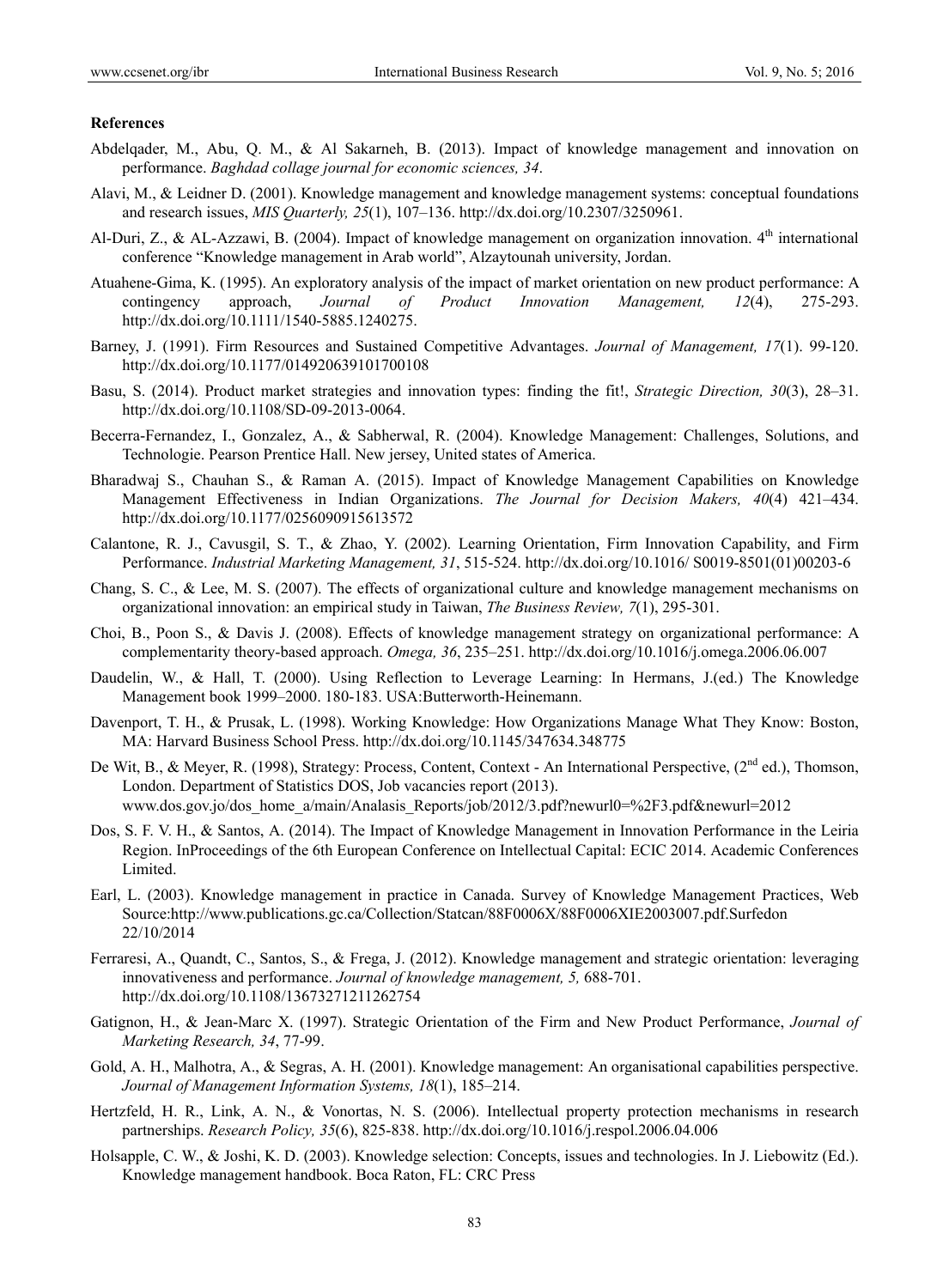#### **References**

- Abdelqader, M., Abu, Q. M., & Al Sakarneh, B. (2013). Impact of knowledge management and innovation on performance. *Baghdad collage journal for economic sciences, 34*.
- Alavi, M., & Leidner D. (2001). Knowledge management and knowledge management systems: conceptual foundations and research issues, *MIS Quarterly, 25*(1), 107–136. http://dx.doi.org/10.2307/3250961.
- Al-Duri, Z., & AL-Azzawi, B. (2004). Impact of knowledge management on organization innovation. 4<sup>th</sup> international conference "Knowledge management in Arab world", Alzaytounah university, Jordan.
- Atuahene-Gima, K. (1995). An exploratory analysis of the impact of market orientation on new product performance: A contingency approach, *Journal of Product Innovation Management, 12*(4), 275-293. http://dx.doi.org/10.1111/1540-5885.1240275.
- Barney, J. (1991). Firm Resources and Sustained Competitive Advantages. *Journal of Management, 17*(1). 99-120. http://dx.doi.org/10.1177/014920639101700108
- Basu, S. (2014). Product market strategies and innovation types: finding the fit!, *Strategic Direction, 30*(3), 28–31. http://dx.doi.org/10.1108/SD-09-2013-0064.
- Becerra-Fernandez, I., Gonzalez, A., & Sabherwal, R. (2004). Knowledge Management: Challenges, Solutions, and Technologie. Pearson Prentice Hall. New jersey, United states of America.
- Bharadwaj S., Chauhan S., & Raman A. (2015). Impact of Knowledge Management Capabilities on Knowledge Management Effectiveness in Indian Organizations. *The Journal for Decision Makers, 40*(4) 421–434. http://dx.doi.org/10.1177/0256090915613572
- Calantone, R. J., Cavusgil, S. T., & Zhao, Y. (2002). Learning Orientation, Firm Innovation Capability, and Firm Performance. *Industrial Marketing Management, 31*, 515-524. http://dx.doi.org/10.1016/ S0019-8501(01)00203-6
- Chang, S. C., & Lee, M. S. (2007). The effects of organizational culture and knowledge management mechanisms on organizational innovation: an empirical study in Taiwan, *The Business Review, 7*(1), 295-301.
- Choi, B., Poon S., & Davis J. (2008). Effects of knowledge management strategy on organizational performance: A complementarity theory-based approach. *Omega, 36*, 235–251. http://dx.doi.org/10.1016/j.omega.2006.06.007
- Daudelin, W., & Hall, T. (2000). Using Reflection to Leverage Learning: In Hermans, J.(ed.) The Knowledge Management book 1999–2000. 180-183. USA:Butterworth-Heinemann.
- Davenport, T. H., & Prusak, L. (1998). Working Knowledge: How Organizations Manage What They Know: Boston, MA: Harvard Business School Press. http://dx.doi.org/10.1145/347634.348775
- De Wit, B., & Meyer, R. (1998), Strategy: Process, Content, Context An International Perspective, (2<sup>nd</sup> ed.), Thomson, London. Department of Statistics DOS, Job vacancies report (2013). www.dos.gov.jo/dos\_home\_a/main/Analasis\_Reports/job/2012/3.pdf?newurl0=%2F3.pdf&newurl=2012
- Dos, S. F. V. H., & Santos, A. (2014). The Impact of Knowledge Management in Innovation Performance in the Leiria Region. InProceedings of the 6th European Conference on Intellectual Capital: ECIC 2014. Academic Conferences Limited.
- Earl, L. (2003). Knowledge management in practice in Canada. Survey of Knowledge Management Practices, Web Source:http://www.publications.gc.ca/Collection/Statcan/88F0006X/88F0006XIE2003007.pdf.Surfedon 22/10/2014
- Ferraresi, A., Quandt, C., Santos, S., & Frega, J. (2012). Knowledge management and strategic orientation: leveraging innovativeness and performance. *Journal of knowledge management, 5,* 688-701. http://dx.doi.org/10.1108/13673271211262754
- Gatignon, H., & Jean-Marc X. (1997). Strategic Orientation of the Firm and New Product Performance, *Journal of Marketing Research, 34*, 77-99.
- Gold, A. H., Malhotra, A., & Segras, A. H. (2001). Knowledge management: An organisational capabilities perspective. *Journal of Management Information Systems, 18*(1), 185–214.
- Hertzfeld, H. R., Link, A. N., & Vonortas, N. S. (2006). Intellectual property protection mechanisms in research partnerships. *Research Policy, 35*(6), 825-838. http://dx.doi.org/10.1016/j.respol.2006.04.006
- Holsapple, C. W., & Joshi, K. D. (2003). Knowledge selection: Concepts, issues and technologies. In J. Liebowitz (Ed.). Knowledge management handbook. Boca Raton, FL: CRC Press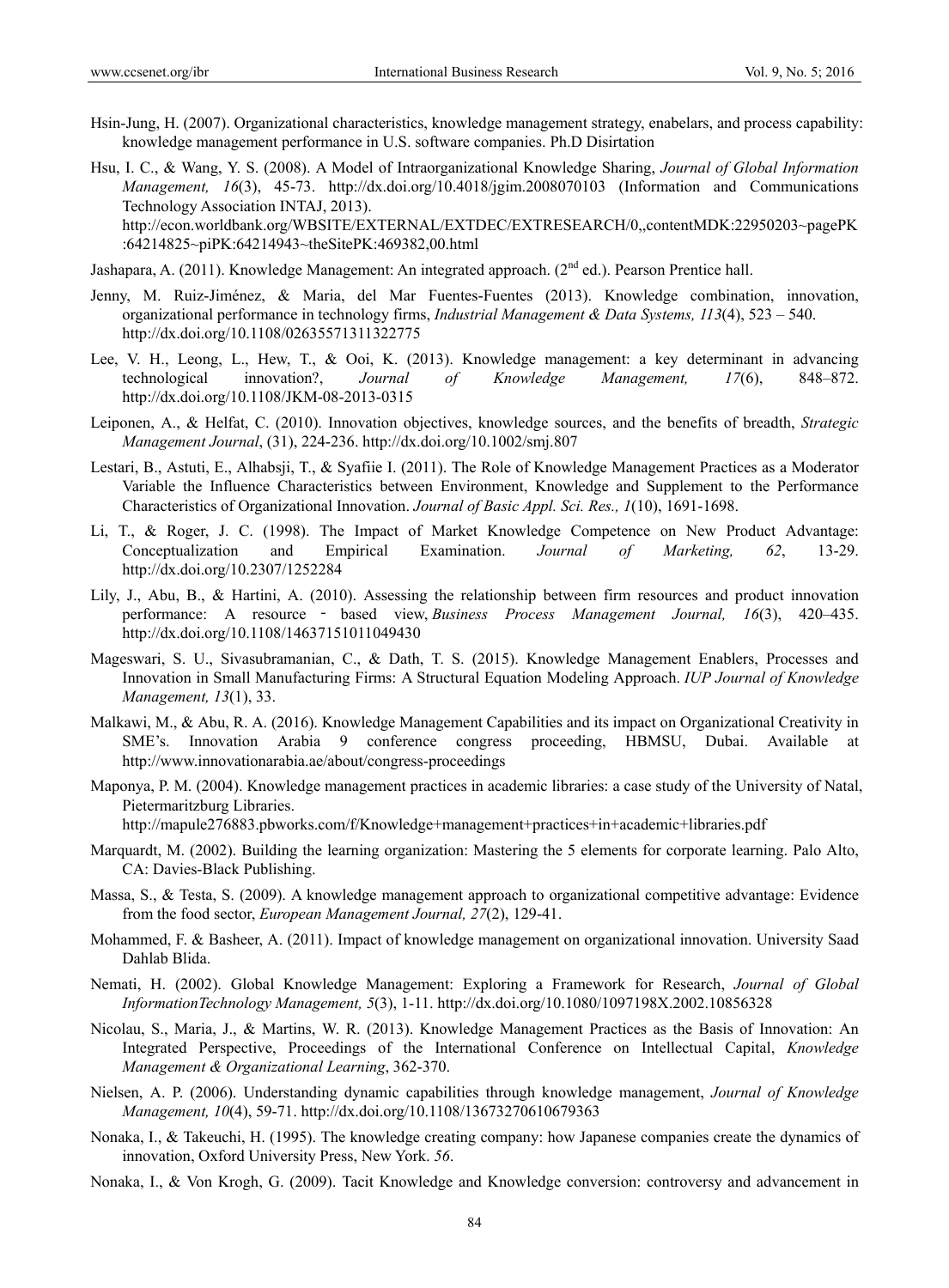- Hsin-Jung, H. (2007). Organizational characteristics, knowledge management strategy, enabelars, and process capability: knowledge management performance in U.S. software companies. Ph.D Disirtation
- Hsu, I. C., & Wang, Y. S. (2008). A Model of Intraorganizational Knowledge Sharing, *Journal of Global Information Management, 16*(3), 45-73. http://dx.doi.org/10.4018/jgim.2008070103 (Information and Communications Technology Association INTAJ, 2013). http://econ.worldbank.org/WBSITE/EXTERNAL/EXTDEC/EXTRESEARCH/0,,contentMDK:22950203~pagePK :64214825~piPK:64214943~theSitePK:469382,00.html

Jashapara, A. (2011). Knowledge Management: An integrated approach. ( $2<sup>nd</sup>$  ed.). Pearson Prentice hall.

- Jenny, M. Ruiz-Jiménez, & Maria, del Mar Fuentes-Fuentes (2013). Knowledge combination, innovation, organizational performance in technology firms, *Industrial Management & Data Systems, 113*(4), 523 – 540. http://dx.doi.org/10.1108/02635571311322775
- Lee, V. H., Leong, L., Hew, T., & Ooi, K. (2013). Knowledge management: a key determinant in advancing technological innovation?, *Journal of Knowledge Management, 17*(6), 848–872. http://dx.doi.org/10.1108/JKM-08-2013-0315
- Leiponen, A., & Helfat, C. (2010). Innovation objectives, knowledge sources, and the benefits of breadth, *Strategic Management Journal*, (31), 224-236. http://dx.doi.org/10.1002/smj.807
- Lestari, B., Astuti, E., Alhabsji, T., & Syafiie I. (2011). The Role of Knowledge Management Practices as a Moderator Variable the Influence Characteristics between Environment, Knowledge and Supplement to the Performance Characteristics of Organizational Innovation. *Journal of Basic Appl. Sci. Res., 1*(10), 1691-1698.
- Li, T., & Roger, J. C. (1998). The Impact of Market Knowledge Competence on New Product Advantage: Conceptualization and Empirical Examination. *Journal of Marketing, 62*, 13-29. http://dx.doi.org/10.2307/1252284
- Lily, J., Abu, B., & Hartini, A. (2010). Assessing the relationship between firm resources and product innovation performance: A resource ‐ based view, *Business Process Management Journal, 16*(3), 420–435. http://dx.doi.org/10.1108/14637151011049430
- Mageswari, S. U., Sivasubramanian, C., & Dath, T. S. (2015). Knowledge Management Enablers, Processes and Innovation in Small Manufacturing Firms: A Structural Equation Modeling Approach. *IUP Journal of Knowledge Management, 13*(1), 33.
- Malkawi, M., & Abu, R. A. (2016). Knowledge Management Capabilities and its impact on Organizational Creativity in SME's. Innovation Arabia 9 conference congress proceeding, HBMSU, Dubai. Available http://www.innovationarabia.ae/about/congress-proceedings

Maponya, P. M. (2004). Knowledge management practices in academic libraries: a case study of the University of Natal, Pietermaritzburg Libraries.

http://mapule276883.pbworks.com/f/Knowledge+management+practices+in+academic+libraries.pdf

- Marquardt, M. (2002). Building the learning organization: Mastering the 5 elements for corporate learning. Palo Alto, CA: Davies-Black Publishing.
- Massa, S., & Testa, S. (2009). A knowledge management approach to organizational competitive advantage: Evidence from the food sector, *European Management Journal, 27*(2), 129-41.
- Mohammed, F. & Basheer, A. (2011). Impact of knowledge management on organizational innovation. University Saad Dahlab Blida.
- Nemati, H. (2002). Global Knowledge Management: Exploring a Framework for Research, *Journal of Global InformationTechnology Management, 5*(3), 1-11. http://dx.doi.org/10.1080/1097198X.2002.10856328
- Nicolau, S., Maria, J., & Martins, W. R. (2013). Knowledge Management Practices as the Basis of Innovation: An Integrated Perspective, Proceedings of the International Conference on Intellectual Capital, *Knowledge Management & Organizational Learning*, 362-370.
- Nielsen, A. P. (2006). Understanding dynamic capabilities through knowledge management, *Journal of Knowledge Management, 10*(4), 59-71. http://dx.doi.org/10.1108/13673270610679363
- Nonaka, I., & Takeuchi, H. (1995). The knowledge creating company: how Japanese companies create the dynamics of innovation, Oxford University Press, New York. *56*.
- Nonaka, I., & Von Krogh, G. (2009). Tacit Knowledge and Knowledge conversion: controversy and advancement in